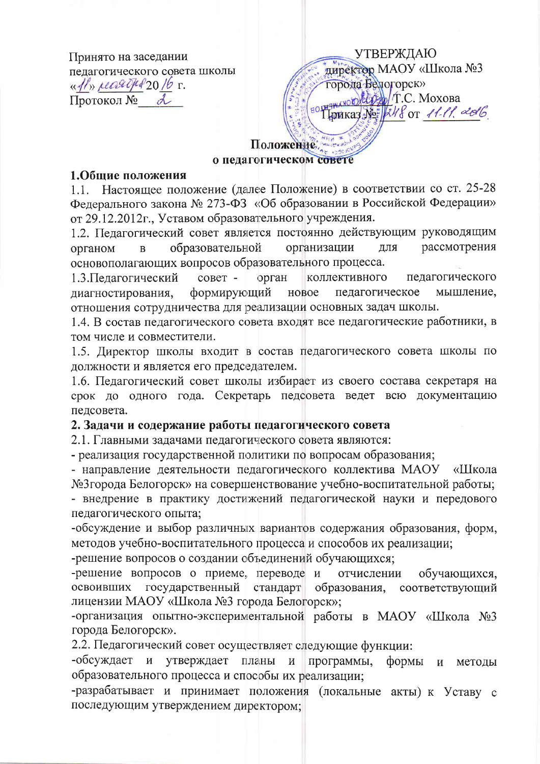Принято на заседании пелагогического совета школы  $\frac{df}{dx}$  recarded 2016 r. Протокол № 2

**УТВЕРЖДАЮ** директор MAOУ «Школа №3 города Белогорск» HERANOLO CONT.C. MOXOBa Thomkay No: 248 or 11-11. 2016

# Положение на о педагогическом совете

### 1. Общие положения

1.1. Настоящее положение (далее Положение) в соответствии со ст. 25-28 Федерального закона № 273-ФЗ «Об образовании в Российской Федерации» от 29.12.2012г., Уставом образовательного учреждения.

1.2. Педагогический совет является постоянно действующим руководящим рассмотрения образовательной организации лля органом  $\overline{B}$ основополагающих вопросов образовательного процесса.

 $\overline{\text{coker}}$  орган 1.3. Педагогический коллективного педагогического формирующий новое мышление, диагностирования, педагогическое отношения сотрудничества для реализации основных задач школы.

1.4. В состав педагогического совета входят все педагогические работники, в том числе и совместители.

1.5. Директор школы входит в состав педагогического совета школы по должности и является его председателем.

1.6. Педагогический совет школы избирает из своего состава секретаря на срок до одного года. Секретарь педсовета ведет всю документацию педсовета.

## 2. Задачи и содержание работы педагогического совета

2.1. Главными задачами педагогического совета являются:

- реализация государственной политики по вопросам образования;

- направление деятельности педагогического коллектива МАОУ «Школа №3города Белогорск» на совершенствование учебно-воспитательной работы;

- внедрение в практику достижений педагогической науки и передового педагогического опыта;

-обсуждение и выбор различных вариантов содержания образования, форм, методов учебно-воспитательного процесса и способов их реализации;

-решение вопросов о создании объединений обучающихся;

-решение вопросов о приеме, переводе и отчислении обучающихся. государственный стандарт образования, соответствующий освоивших лицензии МАОУ «Школа №3 города Белогорск»;

-организация опытно-экспериментальной работы в МАОУ «Школа №3 города Белогорск».

2.2. Педагогический совет осуществляет следующие функции:

-обсуждает и утверждает планы и программы, формы И метолы образовательного процесса и способы их реализации;

-разрабатывает и принимает положения (локальные акты) к Уставу с последующим утверждением директором;